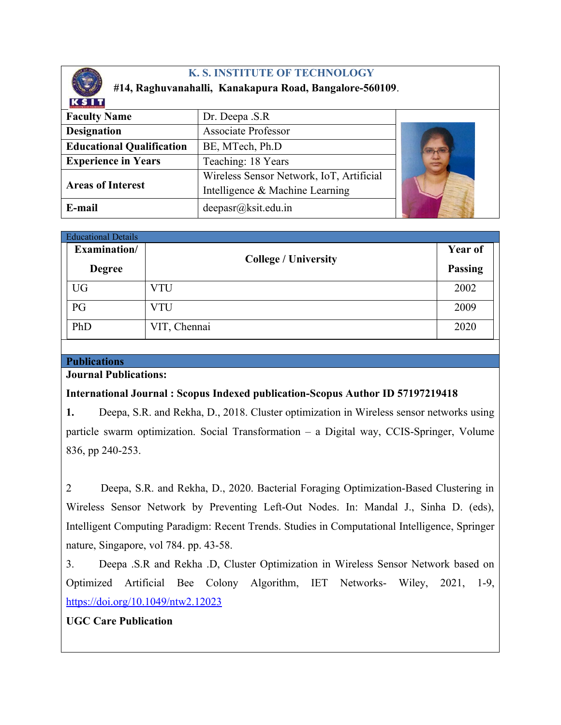

# **K. S. INSTITUTE OF TECHNOLOGY**

# **#14, Raghuvanahalli, Kanakapura Road, Bangalore-560109**.

| Dr. Deepa .S.R                           |  |
|------------------------------------------|--|
| <b>Associate Professor</b>               |  |
| BE, MTech, Ph.D                          |  |
| Teaching: 18 Years                       |  |
| Wireless Sensor Network, IoT, Artificial |  |
| Intelligence & Machine Learning          |  |
| deepasr@ksit.edu.in                      |  |
|                                          |  |

| <b>Educational Details</b> |               |                             |                |  |
|----------------------------|---------------|-----------------------------|----------------|--|
|                            | Examination/  |                             | <b>Year of</b> |  |
|                            | <b>Degree</b> | <b>College / University</b> | <b>Passing</b> |  |
|                            | <b>UG</b>     | VTU                         | 2002           |  |
|                            | PG            | <b>VTU</b>                  | 2009           |  |
|                            | PhD           | VIT, Chennai                | 2020           |  |

#### **Publications**

### **Journal Publications:**

## **International Journal : Scopus Indexed publication-Scopus Author ID 57197219418**

**1.** Deepa, S.R. and Rekha, D., 2018. Cluster optimization in Wireless sensor networks using particle swarm optimization. Social Transformation – a Digital way, CCIS-Springer, Volume 836, pp 240-253.

2 Deepa, S.R. and Rekha, D., 2020. Bacterial Foraging Optimization-Based Clustering in Wireless Sensor Network by Preventing Left-Out Nodes. In: Mandal J., Sinha D. (eds), Intelligent Computing Paradigm: Recent Trends. Studies in Computational Intelligence, Springer nature, Singapore, vol 784. pp. 43-58.

3. Deepa .S.R and Rekha .D, Cluster Optimization in Wireless Sensor Network based on Optimized Artificial Bee Colony Algorithm, IET Networks- Wiley, 2021, 1-9, <https://doi.org/10.1049/ntw2.12023>

## **UGC Care Publication**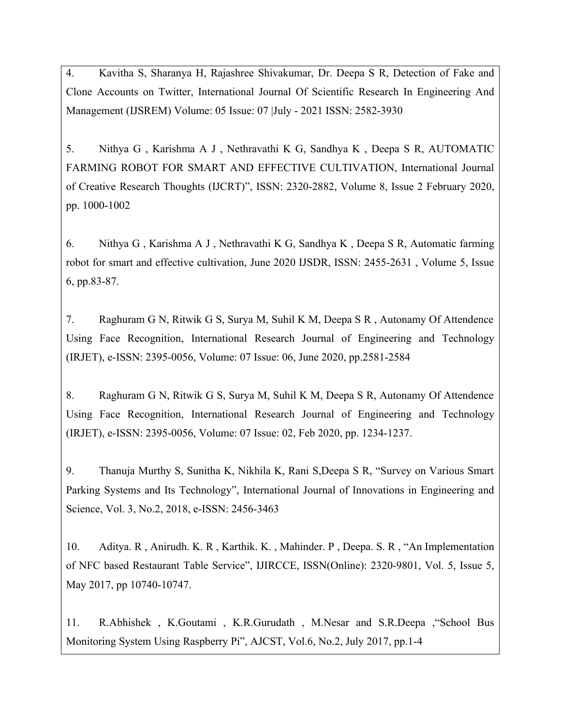4. Kavitha S, Sharanya H, Rajashree Shivakumar, Dr. Deepa S R, Detection of Fake and Clone Accounts on Twitter, International Journal Of Scientific Research In Engineering And Management (IJSREM) Volume: 05 Issue: 07 |July - 2021 ISSN: 2582-3930

5. Nithya G , Karishma A J , Nethravathi K G, Sandhya K , Deepa S R, AUTOMATIC FARMING ROBOT FOR SMART AND EFFECTIVE CULTIVATION, International Journal of Creative Research Thoughts (IJCRT)", ISSN: 2320-2882, Volume 8, Issue 2 February 2020, pp. 1000-1002

6. Nithya G , Karishma A J , Nethravathi K G, Sandhya K , Deepa S R, Automatic farming robot for smart and effective cultivation, June 2020 IJSDR, ISSN: 2455-2631 , Volume 5, Issue 6, pp.83-87.

7. Raghuram G N, Ritwik G S, Surya M, Suhil K M, Deepa S R , Autonamy Of Attendence Using Face Recognition, International Research Journal of Engineering and Technology (IRJET), e-ISSN: 2395-0056, Volume: 07 Issue: 06, June 2020, pp.2581-2584

8. Raghuram G N, Ritwik G S, Surya M, Suhil K M, Deepa S R, Autonamy Of Attendence Using Face Recognition, International Research Journal of Engineering and Technology (IRJET), e-ISSN: 2395-0056, Volume: 07 Issue: 02, Feb 2020, pp. 1234-1237.

9. Thanuja Murthy S, Sunitha K, Nikhila K, Rani S,Deepa S R, "Survey on Various Smart Parking Systems and Its Technology", International Journal of Innovations in Engineering and Science, Vol. 3, No.2, 2018, e-ISSN: 2456-3463

10. Aditya. R , Anirudh. K. R , Karthik. K. , Mahinder. P , Deepa. S. R , "An Implementation of NFC based Restaurant Table Service", IJIRCCE, ISSN(Online): 2320-9801, Vol. 5, Issue 5, May 2017, pp 10740-10747.

11. R.Abhishek , K.Goutami , K.R.Gurudath , M.Nesar and S.R.Deepa ,"School Bus Monitoring System Using Raspberry Pi", AJCST, Vol.6, No.2, July 2017, pp.1-4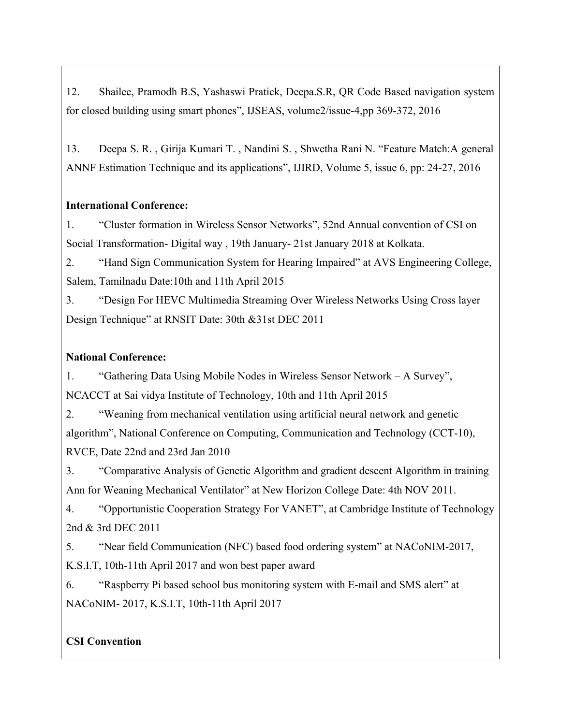12. Shailee, Pramodh B.S, Yashaswi Pratick, Deepa.S.R, QR Code Based navigation system for closed building using smart phones", IJSEAS, volume2/issue-4,pp 369-372, 2016

13. Deepa S. R. , Girija Kumari T. , Nandini S. , Shwetha Rani N. "Feature Match:A general ANNF Estimation Technique and its applications", IJIRD, Volume 5, issue 6, pp: 24-27, 2016

#### **International Conference:**

1. "Cluster formation in Wireless Sensor Networks", 52nd Annual convention of CSI on Social Transformation- Digital way , 19th January- 21st January 2018 at Kolkata.

2. "Hand Sign Communication System for Hearing Impaired" at AVS Engineering College, Salem, Tamilnadu Date:10th and 11th April 2015

3. "Design For HEVC Multimedia Streaming Over Wireless Networks Using Cross layer Design Technique" at RNSIT Date: 30th &31st DEC 2011

### **National Conference:**

1. "Gathering Data Using Mobile Nodes in Wireless Sensor Network – A Survey", NCACCT at Sai vidya Institute of Technology, 10th and 11th April 2015

2. "Weaning from mechanical ventilation using artificial neural network and genetic algorithm", National Conference on Computing, Communication and Technology (CCT-10), RVCE, Date 22nd and 23rd Jan 2010

3. "Comparative Analysis of Genetic Algorithm and gradient descent Algorithm in training Ann for Weaning Mechanical Ventilator" at New Horizon College Date: 4th NOV 2011.

4. "Opportunistic Cooperation Strategy For VANET", at Cambridge Institute of Technology 2nd & 3rd DEC 2011

5. "Near field Communication (NFC) based food ordering system" at NACoNIM-2017, K.S.I.T, 10th-11th April 2017 and won best paper award

6. "Raspberry Pi based school bus monitoring system with E-mail and SMS alert" at NACoNIM- 2017, K.S.I.T, 10th-11th April 2017

## **CSI Convention**